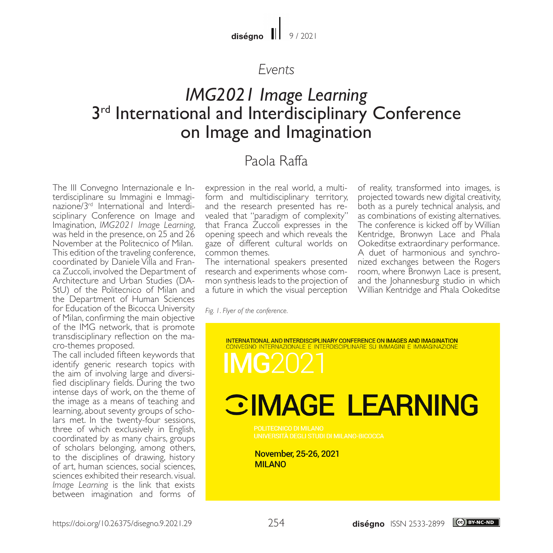$diséano$   $||$  9/2021

#### *Events*

## *IMG2021 Image Learning* 3<sup>rd</sup> International and Interdisciplinary Conference on Image and Imagination

### Paola Raffa

The III Convegno Internazionale e Interdisciplinare su Immagini e Immaginazione/3rd International and Interdisciplinary Conference on Image and Imagination, *IMG2021 Image Learning*, was held in the presence, on 25 and 26 November at the Politecnico of Milan. This edition of the traveling conference, coordinated by Daniele Villa and Franca Zuccoli, involved the Department of Architecture and Urban Studies (DA-StU) of the Politecnico of Milan and the Department of Human Sciences for Education of the Bicocca University of Milan, confirming the main objective of the IMG network, that is promote transdisciplinary reflection on the macro-themes proposed.

The call included fifteen keywords that identify generic research topics with the aim of involving large and diversified disciplinary fields. During the two intense days of work, on the theme of the image as a means of teaching and learning, about seventy groups of scholars met. In the twenty-four sessions, three of which exclusively in English, coordinated by as many chairs, groups of scholars belonging, among others, to the disciplines of drawing, history of art, human sciences, social sciences, sciences exhibited their research. visual. *Image Learning* is the link that exists between imagination and forms of expression in the real world, a multiform and multidisciplinary territory, and the research presented has revealed that "paradigm of complexity" that Franca Zuccoli expresses in the opening speech and which reveals the gaze of different cultural worlds on common themes.

The international speakers presented research and experiments whose common synthesis leads to the projection of a future in which the visual perception

of reality, transformed into images, is projected towards new digital creativity, both as a purely technical analysis, and as combinations of existing alternatives. The conference is kicked off by Willian Kentridge, Bronwyn Lace and Phala Ookeditse extraordinary performance. A duet of harmonious and synchronized exchanges between the Rogers room, where Bronwyn Lace is present, and the Johannesburg studio in which Willian Kentridge and Phala Ookeditse

*Fig. 1. Flyer of the conference.*

**INTERNATIONAL AND INTERDISCIPLINARY CONFERENCE ON IMAGES AND IMAGINATION** CONVEGNO INTERNAZIONALE E INTERDISCIPLINARE SU IMMAGINI E IMMAGINAZIONE

# **CIMAGE LEARNING**

November, 25-26, 2021 **MILANO**